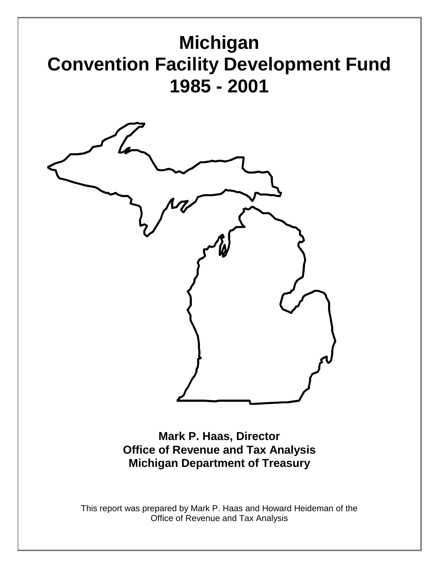

**Mark P. Haas, Director Office of Revenue and Tax Analysis Michigan Department of Treasury**

This report was prepared by Mark P. Haas and Howard Heideman of the Office of Revenue and Tax Analysis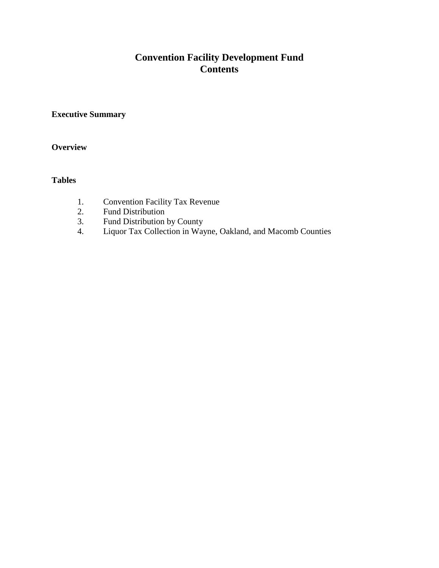## **Convention Facility Development Fund Contents**

#### **Executive Summary**

#### **Overview**

#### **Tables**

- 1. Convention Facility Tax Revenue
- 2. Fund Distribution
- 3. Fund Distribution by County<br>4. Liquor Tax Collection in Way
- 4. Liquor Tax Collection in Wayne, Oakland, and Macomb Counties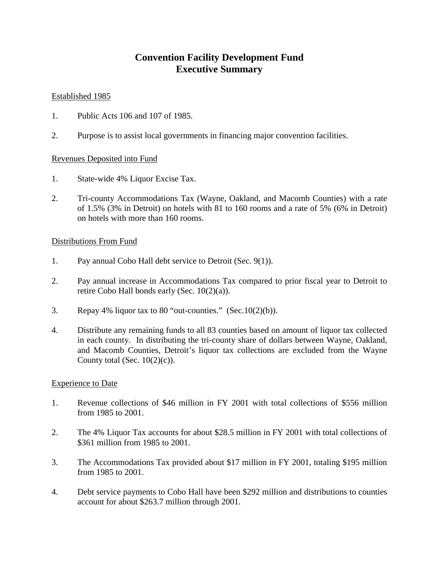#### **Convention Facility Development Fund Executive Summary**

#### Established 1985

- 1. Public Acts 106 and 107 of 1985.
- 2. Purpose is to assist local governments in financing major convention facilities.

#### Revenues Deposited into Fund

- 1. State-wide 4% Liquor Excise Tax.
- 2. Tri-county Accommodations Tax (Wayne, Oakland, and Macomb Counties) with a rate of 1.5% (3% in Detroit) on hotels with 81 to 160 rooms and a rate of 5% (6% in Detroit) on hotels with more than 160 rooms.

#### Distributions From Fund

- 1. Pay annual Cobo Hall debt service to Detroit (Sec. 9(1)).
- 2. Pay annual increase in Accommodations Tax compared to prior fiscal year to Detroit to retire Cobo Hall bonds early (Sec. 10(2)(a)).
- 3. Repay 4% liquor tax to 80 "out-counties." (Sec.10(2)(b)).
- 4. Distribute any remaining funds to all 83 counties based on amount of liquor tax collected in each county. In distributing the tri-county share of dollars between Wayne, Oakland, and Macomb Counties, Detroit's liquor tax collections are excluded from the Wayne County total (Sec.  $10(2)(c)$ ).

#### Experience to Date

- 1. Revenue collections of \$46 million in FY 2001 with total collections of \$556 million from 1985 to 2001.
- 2. The 4% Liquor Tax accounts for about \$28.5 million in FY 2001 with total collections of \$361 million from 1985 to 2001.
- 3. The Accommodations Tax provided about \$17 million in FY 2001, totaling \$195 million from 1985 to 2001.
- 4. Debt service payments to Cobo Hall have been \$292 million and distributions to counties account for about \$263.7 million through 2001.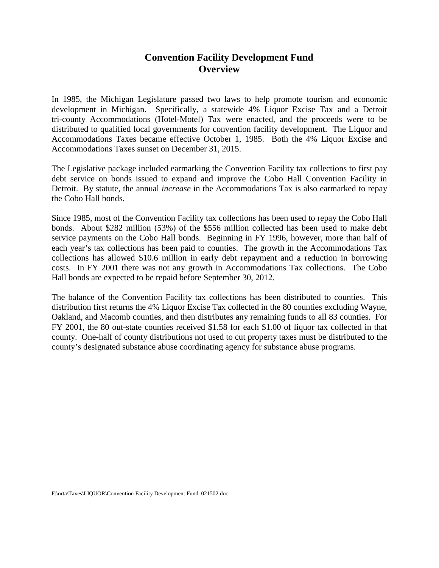#### **Convention Facility Development Fund Overview**

In 1985, the Michigan Legislature passed two laws to help promote tourism and economic development in Michigan. Specifically, a statewide 4% Liquor Excise Tax and a Detroit tri-county Accommodations (Hotel-Motel) Tax were enacted, and the proceeds were to be distributed to qualified local governments for convention facility development. The Liquor and Accommodations Taxes became effective October 1, 1985. Both the 4% Liquor Excise and Accommodations Taxes sunset on December 31, 2015.

The Legislative package included earmarking the Convention Facility tax collections to first pay debt service on bonds issued to expand and improve the Cobo Hall Convention Facility in Detroit. By statute, the annual *increase* in the Accommodations Tax is also earmarked to repay the Cobo Hall bonds.

Since 1985, most of the Convention Facility tax collections has been used to repay the Cobo Hall bonds. About \$282 million (53%) of the \$556 million collected has been used to make debt service payments on the Cobo Hall bonds. Beginning in FY 1996, however, more than half of each year's tax collections has been paid to counties. The growth in the Accommodations Tax collections has allowed \$10.6 million in early debt repayment and a reduction in borrowing costs. In FY 2001 there was not any growth in Accommodations Tax collections. The Cobo Hall bonds are expected to be repaid before September 30, 2012.

The balance of the Convention Facility tax collections has been distributed to counties. This distribution first returns the 4% Liquor Excise Tax collected in the 80 counties excluding Wayne, Oakland, and Macomb counties, and then distributes any remaining funds to all 83 counties. For FY 2001, the 80 out-state counties received \$1.58 for each \$1.00 of liquor tax collected in that county. One-half of county distributions not used to cut property taxes must be distributed to the county's designated substance abuse coordinating agency for substance abuse programs.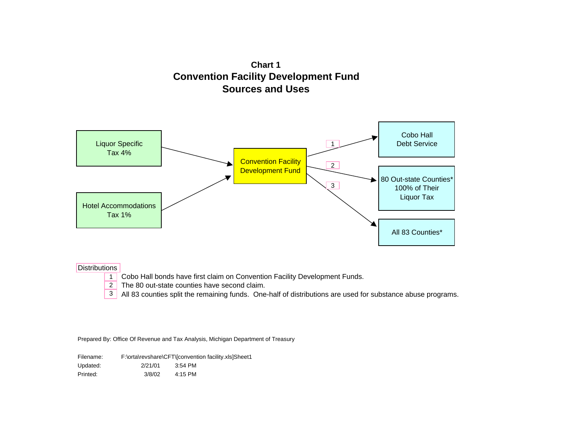**Chart 1 Convention Facility Development Fund Sources and Uses**



#### **Distributions**

- 1 Cobo Hall bonds have first claim on Convention Facility Development Funds.
- 2 The 80 out-state counties have second claim.
- All 83 counties split the remaining funds. One-half of distributions are used for substance abuse programs. 3

| Filename: |         | F:\orta\revshare\CFT\[convention facility.xls]Sheet1 |
|-----------|---------|------------------------------------------------------|
| Updated:  | 2/21/01 | 3:54 PM                                              |
| Printed:  | 3/8/02  | 4:15 PM                                              |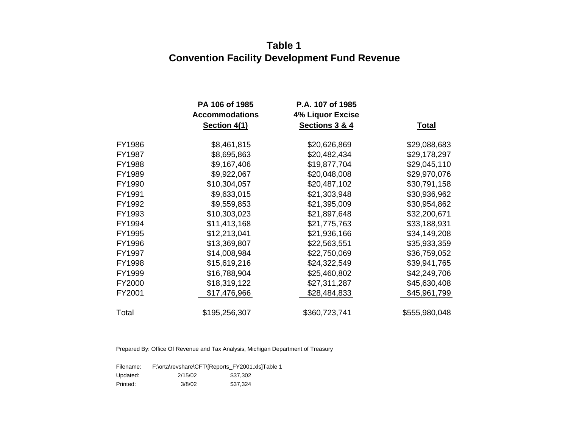# **Table 1 Convention Facility Development Fund Revenue**

|        | PA 106 of 1985<br><b>Accommodations</b> | P.A. 107 of 1985<br><b>4% Liquor Excise</b> |               |
|--------|-----------------------------------------|---------------------------------------------|---------------|
|        | Section 4(1)                            | Sections 3 & 4                              | <u>Total</u>  |
| FY1986 | \$8,461,815                             | \$20,626,869                                | \$29,088,683  |
| FY1987 | \$8,695,863                             | \$20,482,434                                | \$29,178,297  |
| FY1988 | \$9,167,406                             | \$19,877,704                                | \$29,045,110  |
| FY1989 | \$9,922,067                             | \$20,048,008                                | \$29,970,076  |
| FY1990 | \$10,304,057                            | \$20,487,102                                | \$30,791,158  |
| FY1991 | \$9,633,015                             | \$21,303,948                                | \$30,936,962  |
| FY1992 | \$9,559,853                             | \$21,395,009                                | \$30,954,862  |
| FY1993 | \$10,303,023                            | \$21,897,648                                | \$32,200,671  |
| FY1994 | \$11,413,168                            | \$21,775,763                                | \$33,188,931  |
| FY1995 | \$12,213,041                            | \$21,936,166                                | \$34,149,208  |
| FY1996 | \$13,369,807                            | \$22,563,551                                | \$35,933,359  |
| FY1997 | \$14,008,984                            | \$22,750,069                                | \$36,759,052  |
| FY1998 | \$15,619,216                            | \$24,322,549                                | \$39,941,765  |
| FY1999 | \$16,788,904                            | \$25,460,802                                | \$42,249,706  |
| FY2000 | \$18,319,122                            | \$27,311,287                                | \$45,630,408  |
| FY2001 | \$17,476,966                            | \$28,484,833                                | \$45,961,799  |
| Total  | \$195,256,307                           | \$360,723,741                               | \$555,980,048 |

| Filename: |         | F:\orta\revshare\CFT\[Reports_FY2001.xls]Table 1 |
|-----------|---------|--------------------------------------------------|
| Updated:  | 2/15/02 | \$37.302                                         |
| Printed:  | 3/8/02  | \$37.324                                         |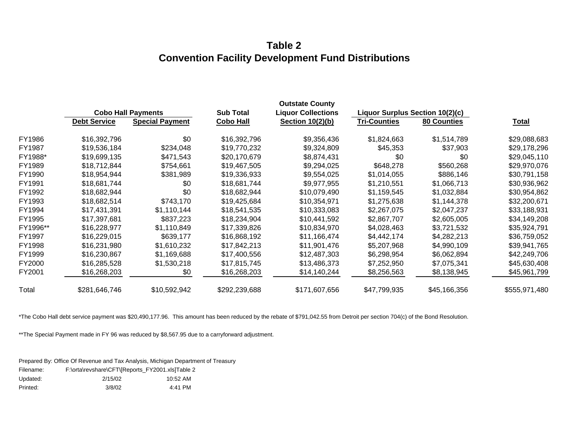## **Table 2 Convention Facility Development Fund Distributions**

|          |                     |                           |                  | <b>Outstate County</b>    |                                 |                    |               |  |
|----------|---------------------|---------------------------|------------------|---------------------------|---------------------------------|--------------------|---------------|--|
|          |                     | <b>Cobo Hall Payments</b> | <b>Sub Total</b> | <b>Liquor Collections</b> | Liquor Surplus Section 10(2)(c) |                    |               |  |
|          | <b>Debt Service</b> | <b>Special Payment</b>    | <b>Cobo Hall</b> | Section 10(2)(b)          | <b>Tri-Counties</b>             | <b>80 Counties</b> | <u>Total</u>  |  |
| FY1986   | \$16,392,796        | \$0                       | \$16,392,796     | \$9,356,436               | \$1,824,663                     | \$1,514,789        | \$29,088,683  |  |
| FY1987   | \$19,536,184        | \$234,048                 | \$19,770,232     | \$9,324,809               | \$45,353                        | \$37,903           | \$29,178,296  |  |
| FY1988*  | \$19,699,135        | \$471,543                 | \$20,170,679     | \$8,874,431               | \$0                             | \$0                | \$29,045,110  |  |
| FY1989   | \$18,712,844        | \$754,661                 | \$19,467,505     | \$9,294,025               | \$648,278                       | \$560,268          | \$29,970,076  |  |
| FY1990   | \$18,954,944        | \$381,989                 | \$19,336,933     | \$9,554,025               | \$1,014,055                     | \$886,146          | \$30,791,158  |  |
| FY1991   | \$18,681,744        | \$0                       | \$18,681,744     | \$9,977,955               | \$1,210,551                     | \$1,066,713        | \$30,936,962  |  |
| FY1992   | \$18,682,944        | \$0                       | \$18,682,944     | \$10,079,490              | \$1,159,545                     | \$1,032,884        | \$30,954,862  |  |
| FY1993   | \$18,682,514        | \$743,170                 | \$19,425,684     | \$10,354,971              | \$1,275,638                     | \$1,144,378        | \$32,200,671  |  |
| FY1994   | \$17,431,391        | \$1,110,144               | \$18,541,535     | \$10,333,083              | \$2,267,075                     | \$2,047,237        | \$33,188,931  |  |
| FY1995   | \$17,397,681        | \$837,223                 | \$18,234,904     | \$10,441,592              | \$2,867,707                     | \$2,605,005        | \$34,149,208  |  |
| FY1996** | \$16,228,977        | \$1,110,849               | \$17,339,826     | \$10,834,970              | \$4,028,463                     | \$3,721,532        | \$35,924,791  |  |
| FY1997   | \$16,229,015        | \$639,177                 | \$16,868,192     | \$11,166,474              | \$4,442,174                     | \$4,282,213        | \$36,759,052  |  |
| FY1998   | \$16,231,980        | \$1,610,232               | \$17,842,213     | \$11,901,476              | \$5,207,968                     | \$4,990,109        | \$39,941,765  |  |
| FY1999   | \$16,230,867        | \$1,169,688               | \$17,400,556     | \$12,487,303              | \$6,298,954                     | \$6,062,894        | \$42,249,706  |  |
| FY2000   | \$16,285,528        | \$1,530,218               | \$17,815,745     | \$13,486,373              | \$7,252,950                     | \$7,075,341        | \$45,630,408  |  |
| FY2001   | \$16,268,203        | \$0                       | \$16,268,203     | \$14,140,244              | \$8,256,563                     | \$8,138,945        | \$45,961,799  |  |
| Total    | \$281,646,746       | \$10,592,942              | \$292,239,688    | \$171,607,656             | \$47,799,935                    | \$45,166,356       | \$555,971,480 |  |

\*The Cobo Hall debt service payment was \$20,490,177.96. This amount has been reduced by the rebate of \$791,042.55 from Detroit per section 704(c) of the Bond Resolution.

\*\*The Special Payment made in FY 96 was reduced by \$8,567.95 due to a carryforward adjustment.

| Filename: | F:\orta\revshare\CFT\JReports FY2001.xls]Table 2 |          |
|-----------|--------------------------------------------------|----------|
| Updated:  | 2/15/02                                          | 10:52 AM |
| Printed:  | 3/8/02                                           | 4:41 PM  |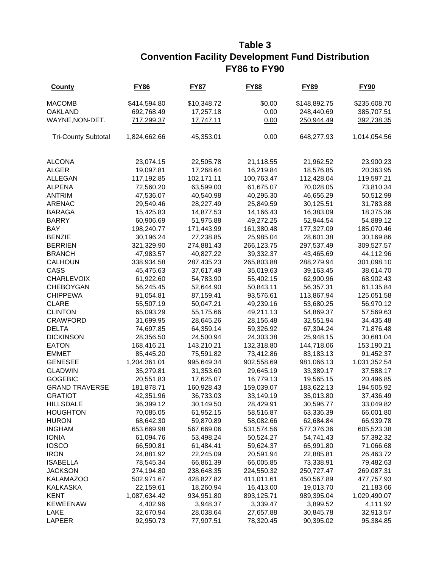## **Table 3 Convention Facility Development Fund Distribution FY86 to FY90**

| <b>County</b>              | <b>FY86</b>             | <b>FY87</b> | <b>FY88</b> | <b>FY89</b>             | <b>FY90</b>  |
|----------------------------|-------------------------|-------------|-------------|-------------------------|--------------|
| <b>MACOMB</b>              | \$414,594.80            | \$10,348.72 | \$0.00      | \$148,892.75            | \$235,608.70 |
| <b>OAKLAND</b>             | 692,768.49              | 17,257.18   | 0.00        | 248,440.69              | 385,707.51   |
| WAYNE, NON-DET.            | 717,299.37              | 17,747.11   | 0.00        | 250,944.49              | 392,738.35   |
| <b>Tri-County Subtotal</b> | 1,824,662.66            | 45,353.01   | 0.00        | 648,277.93              | 1,014,054.56 |
|                            |                         |             |             |                         |              |
| <b>ALCONA</b>              | 23,074.15               | 22,505.78   | 21,118.55   | 21,962.52               | 23,900.23    |
| <b>ALGER</b>               | 19,097.81               | 17,268.64   | 16,219.84   | 18,576.85               | 20,363.95    |
| <b>ALLEGAN</b>             | 117,192.85              | 102,171.11  | 100,763.47  | 112,428.04              | 119,597.21   |
| <b>ALPENA</b>              | 72,560.20               | 63,599.00   | 61,675.07   | 70,028.05               | 73,810.34    |
| <b>ANTRIM</b>              | 47,536.07               | 40,540.98   | 40,295.30   | 46,656.29               | 50,512.99    |
| <b>ARENAC</b>              | 29,549.46               | 28,227.49   | 25,849.59   | 30,125.51               | 31,783.88    |
| <b>BARAGA</b>              | 15,425.83               | 14,877.53   | 14,166.43   | 16,383.09               | 18,375.36    |
| <b>BARRY</b>               | 60,906.69               | 51,975.88   | 49,272.25   | 52,944.54               | 54,889.12    |
| BAY                        | 198,240.77              | 171,443.99  | 161,380.48  | 177,327.09              | 185,070.46   |
| <b>BENZIE</b>              | 30,196.24               | 27,238.85   | 25,985.04   | 28,601.38               | 30,169.86    |
| <b>BERRIEN</b>             | 321,329.90              | 274,881.43  | 266,123.75  | 297,537.49              | 309,527.57   |
| <b>BRANCH</b>              | 47,983.57               | 40,827.22   | 39,332.37   | 43,465.69               | 44,112.96    |
| CALHOUN                    | 338,934.58              | 287,435.23  | 265,803.88  | 288,279.94              | 301,098.10   |
| CASS                       | 45,475.63               | 37,617.49   | 35,019.63   | 39,163.45               | 38,614.70    |
| <b>CHARLEVOIX</b>          | 61,922.60               | 54,783.90   | 55,402.15   | 62,900.96               | 68,902.43    |
| CHEBOYGAN                  | 56,245.45               | 52,644.90   | 50,843.11   | 56,357.31               | 61,135.84    |
| <b>CHIPPEWA</b>            | 91,054.81               | 87,159.41   | 93,576.61   | 113,867.94              | 125,051.58   |
| <b>CLARE</b>               | 55,507.19               | 50,047.21   | 49,239.16   | 53,680.25               | 56,970.12    |
| <b>CLINTON</b>             | 65,093.29               | 55,175.66   | 49,211.13   | 54,869.37               | 57,569.63    |
| <b>CRAWFORD</b>            | 31,699.95               | 28,645.26   | 28,156.48   | 32,551.94               | 34,435.48    |
| <b>DELTA</b>               | 74,697.85               | 64,359.14   | 59,326.92   | 67,304.24               | 71,876.48    |
| <b>DICKINSON</b>           | 28,356.50               | 24,500.94   | 24,303.38   | 25,948.15               | 30,681.04    |
| <b>EATON</b>               | 168,416.21              | 143,210.21  | 132,318.80  | 144,718.06              | 153,190.21   |
| <b>EMMET</b>               | 85,445.20               | 75,591.82   | 73,412.86   | 83,183.13               | 91,452.37    |
| <b>GENESEE</b>             | 1,204,361.01            | 995,649.34  | 902,558.69  | 981,066.13              | 1,031,352.54 |
| <b>GLADWIN</b>             | 35,279.81               | 31,353.60   | 29,645.19   | 33,389.17               | 37,588.17    |
| <b>GOGEBIC</b>             | 20,551.83               | 17,625.07   | 16,779.13   | 19,565.15               | 20,496.85    |
| <b>GRAND TRAVERSE</b>      | 181,878.71              | 160,928.43  | 159,039.07  | 183,622.13              | 194,505.92   |
| <b>GRATIOT</b>             | 42,351.96               | 36,733.03   | 33,149.19   | 35,013.80               | 37,436.49    |
| <b>HILLSDALE</b>           | 36,399.12               | 30,149.50   | 28,429.91   | 30,596.77               | 33,049.82    |
| <b>HOUGHTON</b>            | 70,085.05               | 61,952.15   | 58,516.87   | 63,336.39               | 66,001.80    |
| <b>HURON</b>               | 68,642.30               | 59,870.89   | 58,082.66   | 62,684.84               | 66,939.78    |
| <b>INGHAM</b>              | 653,669.98              | 567,669.06  | 531,574.56  | 577,376.36              | 605,523.38   |
| <b>IONIA</b>               | 61,094.76               | 53,498.24   | 50,524.27   | 54,741.43               | 57,392.32    |
| <b>IOSCO</b>               | 66,590.81               | 61,484.41   | 59,624.37   | 65,991.80               | 71,066.68    |
| <b>IRON</b>                | 24,881.92               | 22,245.09   | 20,591.94   | 22,885.81               | 26,463.72    |
| <b>ISABELLA</b>            |                         |             | 66,005.85   |                         |              |
| <b>JACKSON</b>             | 78,545.34<br>274,194.80 | 66,861.39   | 224,550.32  | 73,338.91<br>250,727.47 | 79,482.63    |
|                            |                         | 238,648.35  |             |                         | 269,087.31   |
| <b>KALAMAZOO</b>           | 502,971.67              | 428,827.82  | 411,011.61  | 450,567.89              | 477,757.93   |
| <b>KALKASKA</b>            | 22,159.61               | 18,260.94   | 16,413.00   | 19,013.70               | 21,183.66    |
| <b>KENT</b>                | 1,087,634.42            | 934,951.80  | 893,125.71  | 989,395.04              | 1,029,490.07 |
| <b>KEWEENAW</b>            | 4,402.96                | 3,948.37    | 3,339.47    | 3,899.52                | 4,111.92     |
| LAKE                       | 32,670.94               | 28,038.64   | 27,657.88   | 30,845.78               | 32,913.57    |
| LAPEER                     | 92,950.73               | 77,907.51   | 78,320.45   | 90,395.02               | 95,384.85    |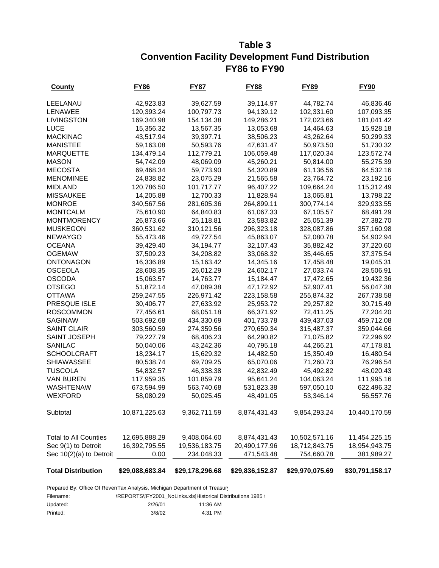### **Table 3 Convention Facility Development Fund Distribution FY86 to FY90**

| <b>County</b>                | <u>FY86</u>     | <u>FY87</u>     | <u>FY88</u>     | <u>FY89</u>     | <u>FY90</u>     |
|------------------------------|-----------------|-----------------|-----------------|-----------------|-----------------|
| LEELANAU                     | 42,923.83       | 39,627.59       | 39,114.97       | 44,782.74       | 46,836.46       |
| <b>LENAWEE</b>               | 120,393.24      | 100,797.73      | 94,139.12       | 102,331.60      | 107,093.35      |
| <b>LIVINGSTON</b>            | 169,340.98      | 154,134.38      | 149,286.21      | 172,023.66      | 181,041.42      |
| <b>LUCE</b>                  | 15,356.32       | 13,567.35       | 13,053.68       | 14,464.63       | 15,928.18       |
| <b>MACKINAC</b>              | 43,517.94       | 39,397.71       | 38,506.23       | 43,262.64       | 50,299.33       |
| <b>MANISTEE</b>              | 59,163.08       | 50,593.76       | 47,631.47       | 50,973.50       | 51,730.32       |
| <b>MARQUETTE</b>             | 134,479.14      | 112,779.21      | 106,059.48      | 117,020.34      | 123,572.74      |
| <b>MASON</b>                 | 54,742.09       | 48,069.09       | 45,260.21       | 50,814.00       | 55,275.39       |
| <b>MECOSTA</b>               | 69,468.34       | 59,773.90       | 54,320.89       | 61,136.56       | 64,532.16       |
| <b>MENOMINEE</b>             | 24,838.82       | 23,075.29       | 21,565.58       | 23,764.72       | 23,192.16       |
| <b>MIDLAND</b>               | 120,786.50      | 101,717.77      | 96,407.22       | 109,664.24      | 115,312.49      |
| <b>MISSAUKEE</b>             | 14,205.88       | 12,700.33       | 11,828.94       | 13,065.81       | 13,798.22       |
| <b>MONROE</b>                | 340,567.56      | 281,605.36      | 264,899.11      | 300,774.14      | 329,933.55      |
| <b>MONTCALM</b>              | 75,610.90       | 64,840.83       | 61,067.33       | 67,105.57       | 68,491.29       |
| <b>MONTMORENCY</b>           | 26,873.66       | 25,118.81       | 23,583.82       | 25,051.39       | 27,382.70       |
| <b>MUSKEGON</b>              | 360,531.62      | 310,121.56      | 296,323.18      | 328,087.86      | 357,160.98      |
| <b>NEWAYGO</b>               | 55,473.46       | 49,727.54       | 45,863.07       | 52,080.78       | 54,902.94       |
| <b>OCEANA</b>                | 39,429.40       | 34,194.77       | 32,107.43       | 35,882.42       | 37,220.60       |
| <b>OGEMAW</b>                | 37,509.23       | 34,208.82       | 33,068.32       | 35,446.65       | 37,375.54       |
| <b>ONTONAGON</b>             | 16,336.89       | 15,163.42       | 14,345.16       | 17,458.48       | 19,045.31       |
| <b>OSCEOLA</b>               | 28,608.35       | 26,012.29       | 24,602.17       | 27,033.74       | 28,506.91       |
| <b>OSCODA</b>                | 15,063.57       | 14,763.77       | 15,184.47       | 17,472.65       | 19,432.36       |
| <b>OTSEGO</b>                | 51,872.14       | 47,089.38       | 47,172.92       | 52,907.41       | 56,047.38       |
| <b>OTTAWA</b>                | 259,247.55      | 226,971.42      | 223,158.58      | 255,874.32      | 267,738.58      |
| PRESQUE ISLE                 | 30,406.77       | 27,633.92       | 25,953.72       | 29,257.82       | 30,715.49       |
| <b>ROSCOMMON</b>             | 77,456.61       | 68,051.18       | 66,371.92       | 72,411.25       | 77,204.20       |
| <b>SAGINAW</b>               | 503,692.68      | 434,330.69      | 401,733.78      | 439,437.03      | 459,712.08      |
| <b>SAINT CLAIR</b>           | 303,560.59      | 274,359.56      | 270,659.34      | 315,487.37      | 359,044.66      |
| SAINT JOSEPH                 | 79,227.79       | 68,406.23       | 64,290.82       | 71,075.82       | 72,296.92       |
| SANILAC                      | 50,040.06       | 43,242.36       | 40,795.18       | 44,266.21       | 47,178.81       |
| <b>SCHOOLCRAFT</b>           | 18,234.17       | 15,629.32       | 14,482.50       | 15,350.49       | 16,480.54       |
| <b>SHIAWASSEE</b>            | 80,538.74       | 69,709.25       | 65,070.06       | 71,260.73       | 76,296.54       |
| <b>TUSCOLA</b>               | 54,832.57       | 46,338.38       | 42,832.49       | 45,492.82       | 48,020.43       |
| <b>VAN BUREN</b>             | 117,959.35      | 101,859.79      | 95,641.24       | 104,063.24      | 111,995.16      |
| <b>WASHTENAW</b>             | 673,594.99      | 563,740.68      | 531,823.38      | 597,050.10      | 622,496.32      |
| <b>WEXFORD</b>               | 58,080.29       | 50,025.45       | 48,491.05       | 53,346.14       | 56,557.76       |
| Subtotal                     | 10,871,225.63   | 9,362,711.59    | 8,874,431.43    | 9,854,293.24    | 10,440,170.59   |
| <b>Total to All Counties</b> | 12,695,888.29   | 9,408,064.60    | 8,874,431.43    | 10,502,571.16   | 11,454,225.15   |
| Sec 9(1) to Detroit          | 16,392,795.55   | 19,536,183.75   | 20,490,177.96   | 18,712,843.75   | 18,954,943.75   |
| Sec 10(2)(a) to Detroit      | 0.00            | 234,048.33      | 471,543.48      | 754,660.78      | 381,989.27      |
|                              |                 |                 |                 |                 |                 |
| <b>Total Distribution</b>    | \$29,088,683.84 | \$29,178,296.68 | \$29,836,152.87 | \$29,970,075.69 | \$30,791,158.17 |

Prepared By: Office Of RevenTax Analysis, Michigan Department of Treasury

Filename: \REPORTS\[FY2001\_NoLinks.xls]Historical Distributions 1985 t

| Updated: | 2/26/01 | 11:36 AM |
|----------|---------|----------|
| Printed: | 3/8/02  | 4:31 PM  |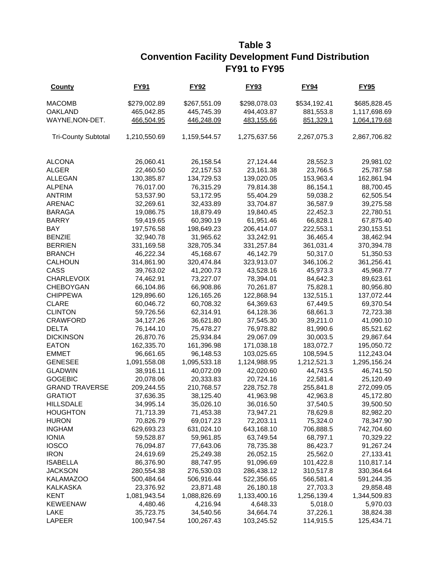## **Table 3 Convention Facility Development Fund Distribution FY91 to FY95**

| <b>County</b>              | <b>FY91</b>  | <b>FY92</b>  | <b>FY93</b>  | <b>FY94</b>  | <b>FY95</b>  |
|----------------------------|--------------|--------------|--------------|--------------|--------------|
| <b>MACOMB</b>              | \$279,002.89 | \$267,551.09 | \$298,078.03 | \$534,192.41 | \$685,828.45 |
| <b>OAKLAND</b>             | 465,042.85   | 445,745.39   | 494,403.87   | 881,553.8    | 1,117,698.69 |
| WAYNE, NON-DET.            | 466,504.95   | 446,248.09   | 483,155.66   | 851,329.1    | 1,064,179.68 |
| <b>Tri-County Subtotal</b> | 1,210,550.69 | 1,159,544.57 | 1,275,637.56 | 2,267,075.3  | 2,867,706.82 |
| <b>ALCONA</b>              | 26,060.41    | 26,158.54    | 27,124.44    | 28,552.3     | 29,981.02    |
| <b>ALGER</b>               | 22,460.50    | 22,157.53    | 23,161.38    | 23,766.5     | 25,787.58    |
| <b>ALLEGAN</b>             | 130,385.87   | 134,729.53   | 139,020.05   | 153,963.4    | 162,861.94   |
| <b>ALPENA</b>              | 76,017.00    | 76,315.29    | 79,814.38    | 86,154.1     | 88,700.45    |
| <b>ANTRIM</b>              | 53,537.90    | 53,172.95    | 55,404.29    | 59,038.2     | 62,505.54    |
| <b>ARENAC</b>              | 32,269.61    | 32,433.89    | 33,704.87    | 36,587.9     | 39,275.58    |
| <b>BARAGA</b>              | 19,086.75    | 18,879.49    | 19,840.45    | 22,452.3     | 22,780.51    |
| <b>BARRY</b>               | 59,419.65    | 60,390.19    | 61,951.46    | 66,828.1     | 67,875.40    |
| BAY                        | 197,576.58   | 198,649.23   | 206,414.07   | 222,553.1    | 230, 153.51  |
| <b>BENZIE</b>              | 32,940.78    | 31,965.62    | 33,242.91    | 36,465.4     | 38,462.94    |
| <b>BERRIEN</b>             | 331,169.58   | 328,705.34   | 331,257.84   | 361,031.4    | 370,394.78   |
| <b>BRANCH</b>              | 46,222.34    | 45,168.67    | 46,142.79    | 50,317.0     | 51,350.53    |
| <b>CALHOUN</b>             | 314,861.90   | 320,474.84   | 323,913.07   | 346,106.2    | 361,256.41   |
| CASS                       | 39,763.02    | 41,200.73    | 43,528.16    | 45,973.3     | 45,968.77    |
| <b>CHARLEVOIX</b>          | 74,462.91    | 73,227.07    | 78,394.01    | 84,642.3     | 89,623.61    |
| <b>CHEBOYGAN</b>           | 66,104.86    | 66,908.86    | 70,261.87    | 75,828.1     | 80,956.80    |
| <b>CHIPPEWA</b>            | 129,896.60   | 126,165.26   | 122,868.94   | 132,515.1    | 137,072.44   |
| <b>CLARE</b>               | 60,046.72    | 60,708.32    | 64,369.63    | 67,449.5     | 69,370.54    |
| <b>CLINTON</b>             | 59,726.56    | 62,314.91    | 64,128.36    | 68,661.3     | 72,723.38    |
| <b>CRAWFORD</b>            | 34,127.26    | 36,621.80    | 37,545.30    | 39,211.0     | 41,090.10    |
| <b>DELTA</b>               | 76,144.10    | 75,478.27    | 76,978.82    | 81,990.6     | 85,521.62    |
| <b>DICKINSON</b>           | 26,870.76    | 25,934.84    | 29,067.09    | 30,003.5     | 29,867.64    |
| <b>EATON</b>               | 162,335.70   | 161,396.98   | 171,038.18   | 183,072.7    | 195,050.72   |
| <b>EMMET</b>               | 96,661.65    | 96,148.53    | 103,025.65   | 108,594.5    | 112,243.04   |
| <b>GENESEE</b>             | 1,091,558.08 | 1,095,533.18 | 1,124,988.95 | 1,212,521.3  | 1,295,156.24 |
| <b>GLADWIN</b>             | 38,916.11    | 40,072.09    | 42,020.60    | 44,743.5     | 46,741.50    |
| <b>GOGEBIC</b>             | 20,078.06    | 20,333.83    | 20,724.16    | 22,581.4     | 25,120.49    |
| <b>GRAND TRAVERSE</b>      | 209,244.55   | 210,768.57   | 228,752.78   | 255,841.8    | 272,099.05   |
| <b>GRATIOT</b>             | 37,636.35    | 38,125.40    | 41,963.98    | 42,963.8     | 45,172.80    |
| <b>HILLSDALE</b>           | 34,995.14    | 35,026.10    | 36,016.50    | 37,540.5     | 39,500.50    |
| <b>HOUGHTON</b>            | 71,713.39    | 71,453.38    | 73,947.21    | 78,629.8     | 82,982.20    |
| <b>HURON</b>               | 70,826.79    | 69,017.23    | 72,203.11    | 75,324.0     | 78,347.90    |
| <b>INGHAM</b>              | 629,693.23   | 631,024.10   | 643,168.10   | 706,888.5    | 742,704.60   |
| <b>IONIA</b>               | 59,528.87    | 59,961.85    | 63,749.54    | 68,797.1     | 70,329.22    |
| <b>IOSCO</b>               | 76,094.87    | 77,643.06    | 78,735.38    | 86,423.7     | 91,267.24    |
| <b>IRON</b>                | 24,619.69    | 25,249.38    | 26,052.15    | 25,562.0     | 27,133.41    |
| <b>ISABELLA</b>            | 86,376.90    | 88,747.95    | 91,096.69    | 101,422.8    | 110,817.14   |
| <b>JACKSON</b>             | 280,554.38   | 276,530.03   | 286,438.12   | 310,517.8    | 330,364.64   |
| <b>KALAMAZOO</b>           | 500,484.64   | 506,916.44   | 522,356.65   | 566,581.4    | 591,244.35   |
| <b>KALKASKA</b>            | 23,376.92    | 23,871.48    | 26,180.18    | 27,703.3     | 29,858.48    |
| <b>KENT</b>                | 1,081,943.54 | 1,088,826.69 | 1,133,400.16 | 1,256,139.4  | 1,344,509.83 |
| <b>KEWEENAW</b>            | 4,480.46     | 4,216.94     | 4,648.33     | 5,018.0      | 5,970.03     |
| LAKE                       | 35,723.75    | 34,540.56    | 34,664.74    | 37,226.1     | 38,824.38    |
| LAPEER                     | 100,947.54   | 100,267.43   | 103,245.52   | 114,915.5    | 125,434.71   |
|                            |              |              |              |              |              |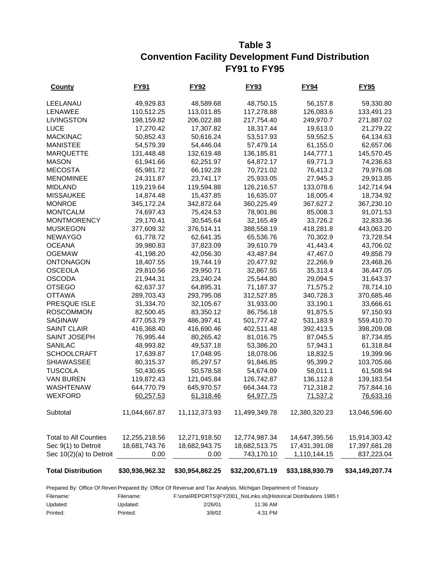### **Table 3 Convention Facility Development Fund Distribution FY91 to FY95**

| <b>County</b>                                  | FY91                  | <b>FY92</b>                    | FY93                        | <b>FY94</b>                   | FY95                        |
|------------------------------------------------|-----------------------|--------------------------------|-----------------------------|-------------------------------|-----------------------------|
| LEELANAU                                       | 49,929.83             | 48,589.68                      | 48,750.15                   | 56,157.8                      | 59,330.80                   |
| <b>LENAWEE</b>                                 | 110,512.25            | 113,011.85                     | 117,278.88                  | 126,083.6                     | 133,491.23                  |
| <b>LIVINGSTON</b>                              | 198,159.82            | 206,022.88                     | 217,754.40                  | 249,970.7                     | 271,887.02                  |
| <b>LUCE</b>                                    | 17,270.42             | 17,307.82                      | 18,317.44                   | 19,613.0                      | 21,279.22                   |
| <b>MACKINAC</b>                                | 50,852.43             | 50,616.24                      | 53,517.93                   | 59,552.5                      | 64,134.63                   |
| <b>MANISTEE</b>                                | 54,579.39             | 54,446.04                      | 57,479.14                   | 61,155.0                      | 62,657.06                   |
| <b>MARQUETTE</b>                               | 131,448.48            | 132,619.48                     | 136,185.81                  | 144,777.1                     | 145,570.45                  |
| <b>MASON</b>                                   | 61,941.66             | 62,251.97                      | 64,872.17                   | 69,771.3                      | 74,236.63                   |
| <b>MECOSTA</b>                                 | 65,981.72             | 66,192.28                      | 70,721.02                   | 76,413.2                      | 79,976.08                   |
| <b>MENOMINEE</b>                               | 24,311.87             | 23,741.17                      | 25,933.05                   | 27,945.3                      | 29,913.85                   |
| <b>MIDLAND</b>                                 | 119,219.64            | 119,594.88                     | 126,216.57                  | 133,078.6                     | 142,714.94                  |
| <b>MISSAUKEE</b>                               | 14,874.48             | 15,437.85                      | 16,635.07                   | 18,005.4                      | 18,734.92                   |
| <b>MONROE</b>                                  | 345,172.24            | 342,872.64                     | 360,225.49                  | 367,627.2                     | 367,230.10                  |
| <b>MONTCALM</b>                                | 74,697.43             | 75,424.53                      | 78,901.86                   | 85,008.3                      | 91,071.53                   |
| <b>MONTMORENCY</b>                             | 29,170.41             | 30,545.64                      | 32,165.49                   | 33,726.2                      | 32,833.36                   |
| <b>MUSKEGON</b>                                | 377,609.32            | 376,514.11                     | 388,558.19                  | 418,281.8                     | 443,063.20                  |
| <b>NEWAYGO</b>                                 | 61,778.72             | 62,641.35                      | 65,536.76                   | 70,302.9                      | 73,728.54                   |
| <b>OCEANA</b>                                  | 39,980.83             | 37,823.09                      | 39,610.79                   | 41,443.4                      | 43,706.02                   |
| <b>OGEMAW</b>                                  | 41,198.20             | 42,056.30                      | 43,487.84                   | 47,467.0                      | 49,858.79                   |
| ONTONAGON                                      | 18,407.55             | 19,744.19                      | 20,477.92                   | 22,266.9                      | 23,468.26                   |
| <b>OSCEOLA</b>                                 | 29,810.56             | 29,950.71                      | 32,867.55                   | 35,313.4                      | 36,447.05                   |
| <b>OSCODA</b>                                  | 21,944.31             | 23,240.24                      | 25,544.80                   | 29,094.5                      | 31,643.37                   |
| <b>OTSEGO</b>                                  | 62,637.37             | 64,895.31                      | 71,187.37                   | 71,575.2                      | 78,714.10                   |
| <b>OTTAWA</b>                                  | 289,703.43            | 293,795.08                     | 312,527.85                  | 340,728.3                     | 370,685.46                  |
| PRESQUE ISLE                                   | 31,334.70             | 32,105.67                      | 31,933.00                   | 33,190.1                      | 33,666.61                   |
| <b>ROSCOMMON</b>                               | 82,500.45             | 83,350.12                      | 86,756.18                   | 91,875.5                      | 97,150.93                   |
| <b>SAGINAW</b>                                 | 477,053.79            | 486,397.41                     | 501,777.42                  | 531,183.9                     | 559,410.70                  |
| <b>SAINT CLAIR</b>                             | 416,368.40            | 416,690.46                     | 402,511.48                  | 392,413.5                     | 398,209.08                  |
| SAINT JOSEPH                                   | 76,995.44             | 80,265.42                      | 81,016.75                   | 87,045.5                      | 87,734.85                   |
| SANILAC                                        | 48,993.82             | 49,537.18                      | 53,386.20                   | 57,943.1                      | 61,318.84                   |
| <b>SCHOOLCRAFT</b>                             | 17,639.87             | 17,048.95                      | 18,078.06                   | 18,832.5                      | 19,399.96                   |
| <b>SHIAWASSEE</b>                              | 80,315.37             | 85,297.57                      | 91,846.85                   | 95,399.2                      | 103,705.66                  |
| <b>TUSCOLA</b>                                 | 50,430.65             | 50,578.58                      | 54,674.09                   | 58,011.1                      | 61,508.94                   |
| <b>VAN BUREN</b>                               | 119,872.43            | 121,045.84                     | 126,742.87                  | 136,112.8                     | 139,183.54                  |
| <b>WASHTENAW</b>                               | 644,770.79            | 645,970.57                     | 664,344.73                  | 712,318.2                     | 757,844.16                  |
| <b>WEXFORD</b>                                 | 60,257.53             | 61,318.46                      | 64,977.75                   | 71,537.2                      | 76,633.16                   |
| Subtotal                                       | 11,044,667.87         | 11,112,373.93                  | 11,499,349.78               | 12,380,320.23                 | 13,046,596.60               |
|                                                |                       |                                |                             |                               |                             |
| <b>Total to All Counties</b>                   | 12,255,218.56         | 12,271,918.50<br>18,682,943.75 | 12,774,987.34               | 14,647,395.56                 | 15,914,303.42               |
| Sec 9(1) to Detroit<br>Sec 10(2)(a) to Detroit | 18,681,743.76<br>0.00 | 0.00                           | 18,682,513.75<br>743,170.10 | 17,431,391.08<br>1,110,144.15 | 17,397,681.28<br>837,223.04 |
|                                                |                       |                                |                             |                               |                             |
| <b>Total Distribution</b>                      | \$30,936,962.32       | \$30,954,862.25                | \$32,200,671.19             | \$33,188,930.79               | \$34,149,207.74             |

Prepared By: Office Of Reven Prepared By: Office Of Revenue and Tax Analysis, Michigan Department of Treasury

| Filename: | Filename: |         | F:\orta\REPORTS\IFY2001_NoLinks.xlslHistorical Distributions 1985 t |
|-----------|-----------|---------|---------------------------------------------------------------------|
| Updated:  | Updated:  | 2/26/01 | 11:36 AM                                                            |
| Printed:  | Printed:  | 3/8/02  | $4:31$ PM                                                           |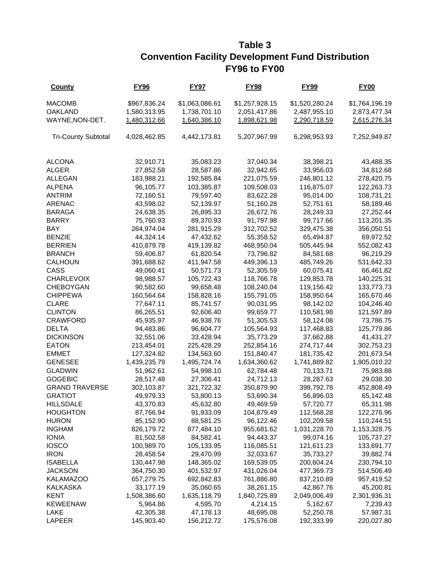### **Table 3 Convention Facility Development Fund Distribution FY96 to FY00**

| <b>County</b>              | <b>FY96</b>  | <b>FY97</b>    | <b>FY98</b>    | <b>FY99</b>    | <b>FY00</b>    |
|----------------------------|--------------|----------------|----------------|----------------|----------------|
| <b>MACOMB</b>              | \$967,836.24 | \$1,063,086.61 | \$1,257,928.15 | \$1,520,280.24 | \$1,764,196.19 |
| <b>OAKLAND</b>             | 1,580,313.95 | 1,738,701.10   | 2,051,417.86   | 2,487,955.10   | 2,873,477.34   |
| WAYNE, NON-DET.            | 1,480,312.66 | 1,640,386.10   | 1,898,621.98   | 2,290,718.59   | 2,615,276.34   |
| <b>Tri-County Subtotal</b> | 4,028,462.85 | 4,442,173.81   | 5,207,967.99   | 6,298,953.93   | 7,252,949.87   |
| <b>ALCONA</b>              | 32,910.71    | 35,083.23      | 37,040.34      | 38,398.21      | 43,488.35      |
| <b>ALGER</b>               | 27,852.58    | 28,587.86      | 32,942.65      | 33,956.03      | 34,812.68      |
| <b>ALLEGAN</b>             | 183,988.21   | 192,585.84     | 221,075.59     | 246,801.12     | 278,420.75     |
| <b>ALPENA</b>              | 96,105.77    | 103,385.87     | 109,508.03     | 116,875.07     | 122,263.73     |
| <b>ANTRIM</b>              | 72,160.51    | 79,597.40      | 83,622.28      | 95,014.00      | 108,731.21     |
| <b>ARENAC</b>              | 43,598.02    | 52,139.97      | 51,160.28      | 52,751.61      | 58,189.46      |
| <b>BARAGA</b>              | 24,638.35    | 26,895.33      | 26,672.76      | 28,249.33      | 27,252.44      |
| <b>BARRY</b>               | 75,760.93    | 89,370.93      | 91,797.98      | 99,717.66      | 113,201.35     |
| BAY                        | 264,974.04   | 281,915.29     | 312,702.52     | 329,475.38     | 356,050.51     |
| <b>BENZIE</b>              | 44,324.14    | 47,432.62      | 55,358.52      | 65,494.87      | 69,972.52      |
| <b>BERRIEN</b>             | 410,879.78   | 419,139.82     | 468,950.04     | 505,445.94     | 552,082.43     |
| <b>BRANCH</b>              | 59,406.87    | 61,820.54      | 73,796.82      | 84,581.68      | 96,219.29      |
| <b>CALHOUN</b>             | 391,688.62   | 411,947.58     | 449,396.13     | 485,749.26     | 531,642.33     |
| CASS                       | 49,060.41    | 50,571.73      | 52,305.59      | 60,075.41      | 66,461.82      |
| <b>CHARLEVOIX</b>          | 98,988.57    | 105,722.43     | 118,766.78     | 129,853.78     | 140,225.31     |
| <b>CHEBOYGAN</b>           | 90,582.60    | 99,658.48      | 108,240.04     | 119,156.42     | 133,773.73     |
| <b>CHIPPEWA</b>            | 160,564.64   | 158,828.16     | 155,791.05     | 158,950.64     | 165,670.46     |
| <b>CLARE</b>               | 77,647.11    | 85,741.57      | 90,031.95      | 98,142.02      | 104,246.40     |
| <b>CLINTON</b>             | 86,265.51    | 92,606.40      | 99,659.77      | 110,581.98     | 121,597.89     |
| <b>CRAWFORD</b>            | 45,935.97    | 46,938.76      | 51,305.53      | 58,124.08      | 73,786.75      |
| <b>DELTA</b>               | 94,483.86    | 96,604.77      | 105,564.93     | 117,468.83     | 125,779.86     |
| <b>DICKINSON</b>           | 32,551.06    | 33,428.94      | 35,773.29      | 37,662.88      | 41,431.27      |
| <b>EATON</b>               | 213,454.01   | 225,428.29     | 252,854.16     | 274,717.44     | 302,753.23     |
| <b>EMMET</b>               | 127,324.82   | 134,563.60     | 151,840.47     | 181,735.42     | 201,673.54     |
| <b>GENESEE</b>             | 1,439,235.79 | 1,495,724.74   | 1,634,360.62   | 1,741,889.82   | 1,905,010.22   |
| <b>GLADWIN</b>             | 51,962.61    | 54,998.10      | 62,784.48      | 70,133.71      | 75,983.88      |
| <b>GOGEBIC</b>             | 28,517.48    | 27,306.41      | 24,712.13      | 28,287.63      | 29,038.30      |
| <b>GRAND TRAVERSE</b>      | 302,103.87   | 321,722.32     | 350,879.90     | 398,792.78     | 452,808.49     |
| <b>GRATIOT</b>             | 49,979.33    | 53,800.13      | 53,690.34      | 56,896.03      | 65,142.48      |
| <b>HILLSDALE</b>           | 43,370.83    | 45,632.80      | 49,469.59      | 57,720.77      | 65,311.98      |
| <b>HOUGHTON</b>            | 87,766.94    | 91,933.09      | 104,879.49     | 112,568.28     | 122,276.96     |
| <b>HURON</b>               | 85,152.90    | 88,581.25      | 96,122.46      | 102,209.58     | 110,244.51     |
| <b>INGHAM</b>              | 826,179.72   | 877,484.10     | 955,681.62     | 1,031,228.70   | 1,153,328.75   |
| <b>IONIA</b>               | 81,502.58    | 84,582.41      | 94,443.37      | 99,074.16      | 105,737.27     |
| <b>IOSCO</b>               | 100,989.70   | 105,133.95     | 116,085.51     | 121,611.23     | 133,691.77     |
| <b>IRON</b>                | 28,458.54    | 29,470.99      | 32,033.67      | 35,733.27      | 39,882.74      |
| <b>ISABELLA</b>            | 130,447.98   | 148,365.02     | 169,539.05     | 200,604.24     | 230,794.10     |
| <b>JACKSON</b>             | 364,750.30   | 401,532.97     | 431,026.04     | 477,369.73     | 514,506.49     |
| <b>KALAMAZOO</b>           | 657,279.75   | 692,842.83     | 761,886.80     | 837,210.89     | 957,419.52     |
| <b>KALKASKA</b>            | 33,177.19    | 35,060.65      | 38,261.15      | 42,867.76      | 45,200.81      |
| <b>KENT</b>                | 1,508,386.60 | 1,635,118.79   | 1,840,725.89   | 2,049,006.49   | 2,301,936.31   |
| <b>KEWEENAW</b>            | 5,964.86     | 4,595.70       | 4,214.15       | 5,162.67       | 7,239.43       |
| LAKE                       | 42,305.38    | 47,178.13      | 48,695.08      | 52,250.78      | 57,987.31      |
| LAPEER                     | 145,903.40   | 156,212.72     | 175,576.08     | 192,333.99     | 220,027.80     |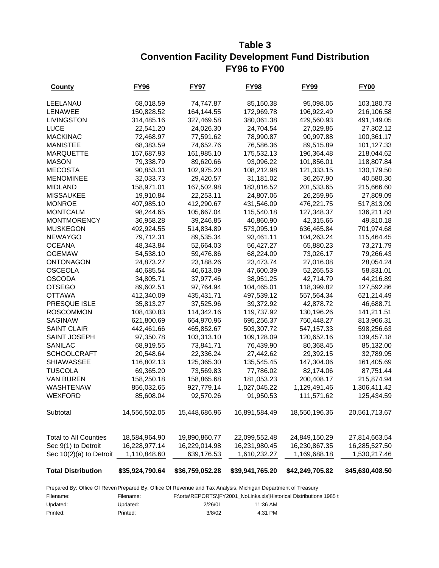### **Table 3 Convention Facility Development Fund Distribution FY96 to FY00**

| <b>County</b>                | <u>FY96</u>     | FY97            | <u>FY98</u>     | <u>FY99</u>     | <b>FY00</b>     |
|------------------------------|-----------------|-----------------|-----------------|-----------------|-----------------|
| LEELANAU                     | 68,018.59       | 74,747.87       | 85,150.38       | 95,098.06       | 103,180.73      |
| <b>LENAWEE</b>               | 150,828.52      | 164,144.55      | 172,969.78      | 196,922.49      | 216,106.58      |
| <b>LIVINGSTON</b>            | 314,485.16      | 327,469.58      | 380,061.38      | 429,560.93      | 491,149.05      |
| <b>LUCE</b>                  | 22,541.20       | 24,026.30       | 24,704.54       | 27,029.86       | 27,302.12       |
| <b>MACKINAC</b>              | 72,468.97       | 77,591.62       | 78,990.87       | 90,997.88       | 100,361.17      |
| <b>MANISTEE</b>              | 68,383.59       | 74,652.76       | 76,586.36       | 89,515.89       | 101,127.33      |
| <b>MARQUETTE</b>             | 157,687.93      | 161,985.10      | 175,532.13      | 196,364.48      | 218,044.62      |
| <b>MASON</b>                 | 79,338.79       | 89,620.66       | 93,096.22       | 101,856.01      | 118,807.84      |
| <b>MECOSTA</b>               | 90,853.31       | 102,975.20      | 108,212.98      | 121,333.15      | 130,179.50      |
| <b>MENOMINEE</b>             | 32,033.73       | 29,420.57       | 31,181.02       | 36,267.90       | 40,580.30       |
| <b>MIDLAND</b>               | 158,971.01      | 167,502.98      | 183,816.52      | 201,533.65      | 215,666.60      |
| <b>MISSAUKEE</b>             | 19,910.84       | 22,253.11       | 24,807.06       | 26,259.96       | 27,809.09       |
| <b>MONROE</b>                | 407,985.10      | 412,290.67      | 431,546.09      | 476,221.75      | 517,813.09      |
| <b>MONTCALM</b>              | 98,244.65       | 105,667.04      | 115,540.18      | 127,348.37      | 136,211.83      |
| <b>MONTMORENCY</b>           | 36,958.28       | 39,246.85       | 40,860.90       | 42,315.66       | 49,810.18       |
| <b>MUSKEGON</b>              | 492,924.55      | 514,834.89      | 573,095.19      | 636,465.84      | 701,974.68      |
| <b>NEWAYGO</b>               | 79,712.31       | 89,535.34       | 93,461.11       | 104,263.24      | 115,464.45      |
| <b>OCEANA</b>                | 48,343.84       | 52,664.03       | 56,427.27       | 65,880.23       | 73,271.79       |
| <b>OGEMAW</b>                | 54,538.10       | 59,476.86       | 68,224.09       | 73,026.17       | 79,266.43       |
| <b>ONTONAGON</b>             | 24,873.27       | 23,188.26       | 23,473.74       | 27,016.08       | 28,054.24       |
| <b>OSCEOLA</b>               | 40,685.54       | 46,613.09       | 47,600.39       | 52,265.53       | 58,831.01       |
| <b>OSCODA</b>                | 34,805.71       | 37,977.46       | 38,951.25       | 42,714.79       | 44,216.89       |
| <b>OTSEGO</b>                | 89,602.51       | 97,764.94       | 104,465.01      | 118,399.82      | 127,592.86      |
| <b>OTTAWA</b>                | 412,340.09      | 435,431.71      | 497,539.12      | 557,564.34      | 621,214.49      |
| PRESQUE ISLE                 | 35,813.27       | 37,525.96       | 39,372.92       | 42,878.72       | 46,688.71       |
| <b>ROSCOMMON</b>             | 108,430.83      | 114,342.16      | 119,737.92      | 130,196.26      | 141,211.51      |
| <b>SAGINAW</b>               | 621,800.69      | 664,970.96      | 695,256.37      | 750,448.27      | 813,966.31      |
| <b>SAINT CLAIR</b>           | 442,461.66      | 465,852.67      | 503,307.72      | 547,157.33      | 598,256.63      |
| <b>SAINT JOSEPH</b>          | 97,350.78       | 103,313.10      | 109,128.09      | 120,652.16      | 139,457.18      |
| SANILAC                      | 68,919.55       | 73,841.71       | 76,439.90       | 80,368.45       | 85,132.00       |
| <b>SCHOOLCRAFT</b>           | 20,548.64       | 22,336.24       | 27,442.62       | 29,392.15       | 32,789.95       |
| <b>SHIAWASSEE</b>            | 116,802.13      | 125,365.30      | 135,545.45      | 147,304.06      | 161,405.69      |
| <b>TUSCOLA</b>               | 69,365.20       | 73,569.83       | 77,786.02       | 82,174.06       | 87,751.44       |
| <b>VAN BUREN</b>             | 158,250.18      | 158,865.68      | 181,053.23      | 200,408.17      | 215,874.94      |
| <b>WASHTENAW</b>             | 856,032.65      | 927,779.14      | 1,027,045.22    | 1,129,491.46    | 1,306,411.42    |
| <b>WEXFORD</b>               | 85,608.04       | 92,570.26       | 91,950.53       | 111,571.62      | 125,434.59      |
| Subtotal                     | 14,556,502.05   | 15,448,686.96   | 16,891,584.49   | 18,550,196.36   | 20,561,713.67   |
| <b>Total to All Counties</b> | 18,584,964.90   | 19,890,860.77   | 22,099,552.48   | 24,849,150.29   | 27,814,663.54   |
| Sec 9(1) to Detroit          | 16,228,977.14   | 16,229,014.98   | 16,231,980.45   | 16,230,867.35   | 16,285,527.50   |
| Sec 10(2)(a) to Detroit      | 1,110,848.60    | 639,176.53      | 1,610,232.27    | 1,169,688.18    | 1,530,217.46    |
|                              |                 |                 |                 |                 |                 |
| <b>Total Distribution</b>    | \$35,924,790.64 | \$36,759,052.28 | \$39,941,765.20 | \$42,249,705.82 | \$45,630,408.50 |

Prepared By: Office Of Reven Prepared By: Office Of Revenue and Tax Analysis, Michigan Department of Treasury

| Filename: | Filename: |         | F:\orta\REPORTS\JFY2001 NoLinks.xls]Historical Distributions 1985 t |
|-----------|-----------|---------|---------------------------------------------------------------------|
| Updated:  | Updated:  | 2/26/01 | 11:36 AM                                                            |
| Printed:  | Printed:  | 3/8/02  | $4:31$ PM                                                           |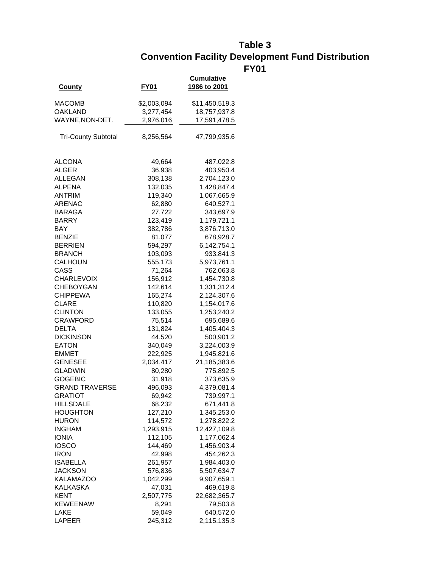### **Table 3 Convention Facility Development Fund Distribution FY01**

| <b>County</b>              | FY01        | Cumulative<br>1986 to 2001 |
|----------------------------|-------------|----------------------------|
| MACOMB                     | \$2,003,094 | \$11,450,519.3             |
| OAKLAND                    | 3,277,454   | 18,757,937.8               |
| WAYNE, NON-DET.            | 2,976,016   | 17,591,478.5               |
| <b>Tri-County Subtotal</b> | 8,256,564   | 47,799,935.6               |
| <b>ALCONA</b>              | 49,664      | 487,022.8                  |
| ALGER                      | 36,938      | 403,950.4                  |
| ALLEGAN                    | 308,138     | 2,704,123.0                |
| ALPENA                     | 132,035     | 1,428,847.4                |
| ANTRIM                     | 119,340     | 1,067,665.9                |
| ARENAC                     | 62,880      | 640,527.1                  |
| <b>BARAGA</b>              | 27,722      | 343,697.9                  |
| BARRY                      | 123,419     | 1,179,721.1                |
| BAY                        | 382,786     | 3,876,713.0                |
| <b>BENZIE</b>              | 81,077      | 678,928.7                  |
| BERRIEN                    | 594,297     | 6,142,754.1                |
| <b>BRANCH</b>              | 103,093     | 933,841.3                  |
| CALHOUN                    | 555,173     | 5,973,761.1                |
| CASS                       | 71,264      | 762,063.8                  |
| CHARLEVOIX                 | 156,912     | 1,454,730.8                |
| <b>CHEBOYGAN</b>           | 142,614     | 1,331,312.4                |
| CHIPPEWA                   | 165,274     | 2,124,307.6                |
| CLARE                      | 110,820     | 1,154,017.6                |
| <b>CLINTON</b>             | 133,055     | 1,253,240.2                |
| CRAWFORD                   | 75,514      | 695,689.6                  |
| DELTA                      | 131,824     | 1,405,404.3                |
| <b>DICKINSON</b>           | 44,520      | 500,901.2                  |
| EATON                      | 340,049     | 3,224,003.9                |
| EMMET                      | 222,925     | 1,945,821.6                |
| <b>GENESEE</b>             | 2,034,417   | 21,185,383.6               |
| GLADWIN                    | 80,280      | 775,892.5                  |
| GOGEBIC                    | 31,918      | 373,635.9                  |
| <b>GRAND TRAVERSE</b>      | 496,093     | 4,379,081.4                |
| <b>GRATIOT</b>             | 69,942      | 739,997.1                  |
| HILLSDALE                  | 68,232      | 671,441.8                  |
| <b>HOUGHTON</b>            | 127,210     | 1,345,253.0                |
| <b>HURON</b>               | 114,572     | 1,278,822.2                |
| <b>INGHAM</b>              | 1,293,915   | 12,427,109.8               |
| <b>IONIA</b>               | 112,105     | 1,177,062.4                |
| <b>IOSCO</b>               | 144,469     | 1,456,903.4                |
| <b>IRON</b>                | 42,998      | 454,262.3                  |
| <b>ISABELLA</b>            | 261,957     | 1,984,403.0                |
| JACKSON                    | 576,836     | 5,507,634.7                |
| <b>KALAMAZOO</b>           | 1,042,299   | 9,907,659.1                |
| KALKASKA                   | 47,031      | 469,619.8                  |
| <b>KENT</b>                | 2,507,775   | 22,682,365.7               |
| <b>KEWEENAW</b>            | 8,291       | 79,503.8                   |
| LAKE                       | 59,049      | 640,572.0                  |
| LAPEER                     | 245,312     | 2,115,135.3                |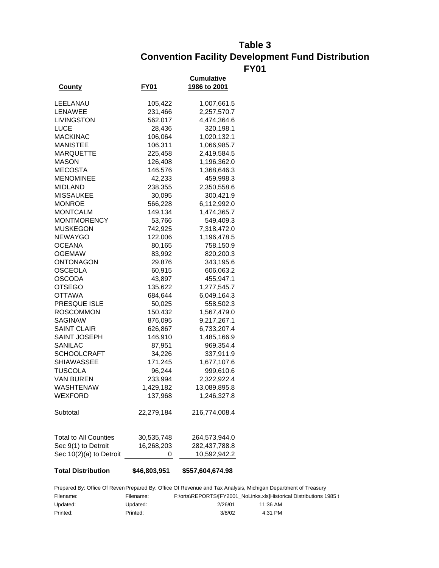#### **Table 3 Convention Facility Development Fund Distribution FY01**

| County                       | FY01         | <b>Cumulative</b><br><u>1986 to 2001</u> |
|------------------------------|--------------|------------------------------------------|
|                              |              |                                          |
| LEELANAU                     | 105,422      | 1,007,661.5                              |
| LENAWEE                      | 231,466      | 2,257,570.7                              |
| LIVINGSTON                   | 562,017      | 4,474,364.6                              |
| LUCE                         | 28,436       | 320,198.1                                |
| <b>MACKINAC</b>              | 106,064      | 1,020,132.1                              |
| MANISTEE                     | 106,311      | 1,066,985.7                              |
| <b>MARQUETTE</b>             | 225,458      | 2,419,584.5                              |
| MASON                        | 126,408      | 1,196,362.0                              |
| <b>MECOSTA</b>               | 146,576      | 1,368,646.3                              |
| <b>MENOMINEE</b>             | 42,233       | 459,998.3                                |
| MIDLAND                      | 238,355      | 2,350,558.6                              |
| <b>MISSAUKEE</b>             | 30,095       | 300,421.9                                |
| <b>MONROE</b>                | 566,228      | 6,112,992.0                              |
| MONTCALM                     | 149,134      | 1,474,365.7                              |
| <b>MONTMORENCY</b>           | 53,766       | 549,409.3                                |
| MUSKEGON                     | 742,925      | 7,318,472.0                              |
| NEWAYGO                      | 122,006      | 1,196,478.5                              |
| <b>OCEANA</b>                | 80,165       | 758,150.9                                |
| OGEMAW                       | 83,992       | 820,200.3                                |
| ONTONAGON                    | 29,876       | 343,195.6                                |
| OSCEOLA                      | 60,915       | 606,063.2                                |
| OSCODA                       | 43,897       | 455,947.1                                |
| OTSEGO                       | 135,622      | 1,277,545.7                              |
| OTTAWA                       | 684,644      | 6,049,164.3                              |
| <b>PRESQUE ISLE</b>          | 50,025       | 558,502.3                                |
| ROSCOMMON                    | 150,432      | 1,567,479.0                              |
| SAGINAW                      | 876,095      | 9,217,267.1                              |
| <b>SAINT CLAIR</b>           | 626,867      | 6,733,207.4                              |
| SAINT JOSEPH                 |              |                                          |
|                              | 146,910      | 1,485,166.9                              |
| SANILAC                      | 87,951       | 969,354.4                                |
| <b>SCHOOLCRAFT</b>           | 34,226       | 337,911.9                                |
| SHIAWASSEE                   | 171,245      | 1,677,107.6                              |
| TUSCOLA                      | 96,244       | 999,610.6                                |
| VAN BUREN                    | 233,994      | 2,322,922.4                              |
| WASHTENAW                    | 1,429,182    | 13,089,895.8                             |
| <b>WEXFORD</b>               | 137,968      | 1,246,327.8                              |
| Subtotal                     | 22,279,184   | 216,774,008.4                            |
| <b>Total to All Counties</b> | 30,535,748   | 264,573,944.0                            |
| Sec 9(1) to Detroit          | 16,268,203   | 282,437,788.8                            |
| Sec 10(2)(a) to Detroit      | 0            | 10,592,942.2                             |
| <b>Total Distribution</b>    | \$46,803,951 | \$557,604,674.98                         |

Prepared By: Office Of Reven Prepared By: Office Of Revenue and Tax Analysis, Michigan Department of Treasury Filename: Updated: Printed: Filename: F:\orta\REPORTS\[FY2001\_NoLinks.xls]Historical Distributions 1985 t Updated: 2/26/01 11:36 AM Printed: 3/8/02 4:31 PM